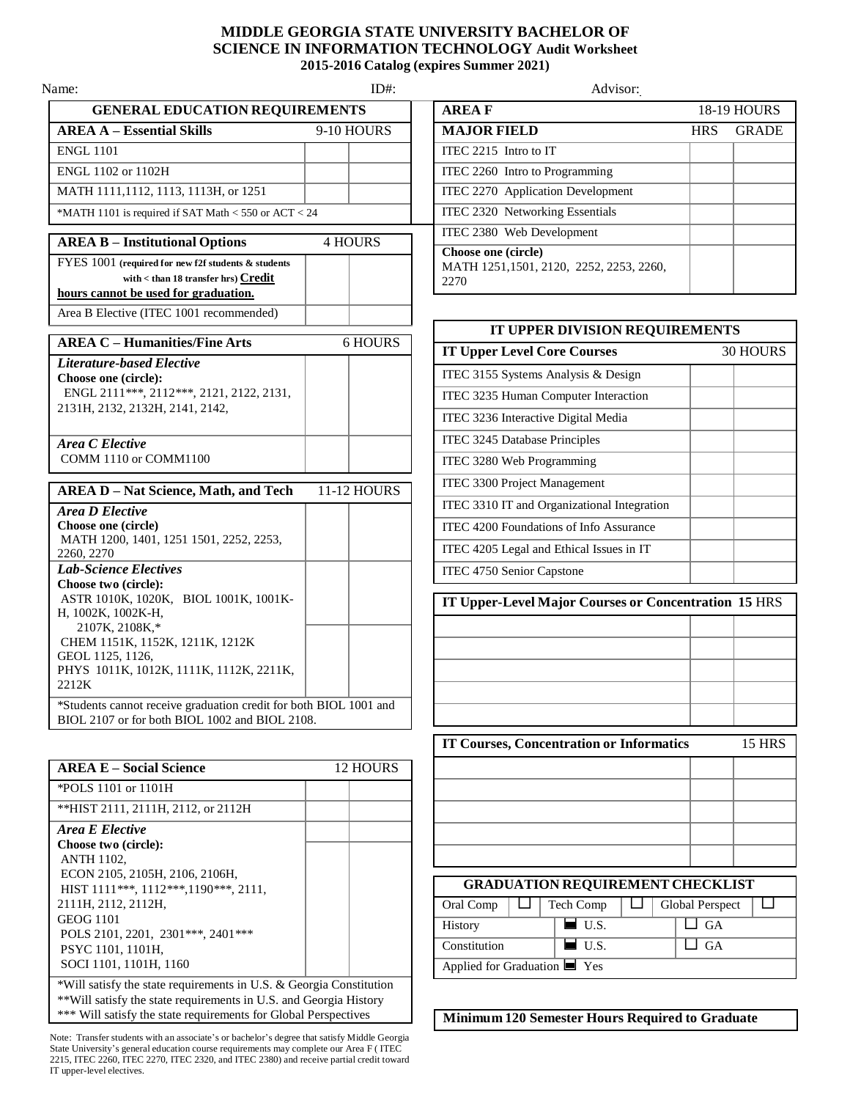## **MIDDLE GEORGIA STATE UNIVERSITY BACHELOR OF SCIENCE IN INFORMATION TECHNOLOGY Audit Worksheet 2015-2016 Catalog (expires Summer 2021)**

| Name:                                                                                                                              | $ID#$ :        | Advisor:                                                           |
|------------------------------------------------------------------------------------------------------------------------------------|----------------|--------------------------------------------------------------------|
| <b>GENERAL EDUCATION REQUIREMENTS</b>                                                                                              |                | <b>AREAF</b>                                                       |
| <b>AREA A - Essential Skills</b>                                                                                                   | 9-10 HOURS     | <b>MAJOR FIELD</b>                                                 |
| <b>ENGL 1101</b>                                                                                                                   |                | ITEC 2215 Intro to IT                                              |
| ENGL 1102 or 1102H                                                                                                                 |                | ITEC 2260 Intro to Programming                                     |
| MATH 1111, 1112, 1113, 1113H, or 1251                                                                                              |                | ITEC 2270 Application Development                                  |
| *MATH 1101 is required if SAT Math < 550 or ACT < 24                                                                               |                | ITEC 2320 Networking Essentials                                    |
| <b>AREA B - Institutional Options</b>                                                                                              | <b>4 HOURS</b> | ITEC 2380 Web Development                                          |
| FYES 1001 (required for new f2f students & students<br>with < than 18 transfer hrs) Credit<br>hours cannot be used for graduation. |                | Choose one (circle)<br>MATH 1251,1501, 2120, 2252, 2253, 2<br>2270 |
| Area B Elective (ITEC 1001 recommended)                                                                                            |                |                                                                    |
| <b>AREA C - Humanities/Fine Arts</b>                                                                                               | <b>6 HOURS</b> | <b>IT UPPER DIVISION RE</b>                                        |
| Literature-based Elective                                                                                                          |                | <b>IT Upper Level Core Courses</b>                                 |
| Choose one (circle):                                                                                                               |                | ITEC 3155 Systems Analysis & Design                                |
| ENGL 2111***, 2112***, 2121, 2122, 2131,                                                                                           |                | ITEC 3235 Human Computer Interaction                               |
| 2131H, 2132, 2132H, 2141, 2142,                                                                                                    |                | ITEC 3236 Interactive Digital Media                                |
| Area C Elective                                                                                                                    |                | ITEC 3245 Database Principles                                      |
| COMM 1110 or COMM1100                                                                                                              |                | ITEC 3280 Web Programming                                          |
|                                                                                                                                    |                | ITEC 3300 Project Management                                       |
| <b>AREA D - Nat Science, Math, and Tech</b>                                                                                        | 11-12 HOURS    | ITEC 3310 IT and Organizational Integr                             |
| <b>Area D Elective</b><br>Choose one (circle)                                                                                      |                | ITEC 4200 Foundations of Info Assuran                              |
| MATH 1200, 1401, 1251 1501, 2252, 2253,                                                                                            |                | ITEC 4205 Legal and Ethical Issues in I                            |
| 2260, 2270<br><b>Lab-Science Electives</b>                                                                                         |                | ITEC 4750 Senior Capstone                                          |
| Choose two (circle):                                                                                                               |                |                                                                    |
| ASTR 1010K, 1020K, BIOL 1001K, 1001K-<br>H, 1002K, 1002K-H,<br>2107K, 2108K,*                                                      |                | <b>IT Upper-Level Major Courses or</b>                             |
| CHEM 1151K, 1152K, 1211K, 1212K                                                                                                    |                |                                                                    |
| GEOL 1125, 1126,<br>PHYS 1011K, 1012K, 1111K, 1112K, 2211K,<br>2212K                                                               |                |                                                                    |
| *Students cannot receive graduation credit for both BIOL 1001 and<br>BIOL 2107 or for both BIOL 1002 and BIOL 2108.                |                |                                                                    |
|                                                                                                                                    |                | <b>IT Courses, Concentration or Info</b>                           |
| <b>AREA E - Social Science</b>                                                                                                     | 12 HOURS       |                                                                    |
| *POLS 1101 or 1101H                                                                                                                |                |                                                                    |
| **HIST 2111, 2111H, 2112, or 2112H                                                                                                 |                |                                                                    |
| Area E Elective<br>Choose two (circle):<br><b>ANTH 1102,</b>                                                                       |                |                                                                    |
| ECON 2105, 2105H, 2106, 2106H,                                                                                                     |                | <b>GRADUATION REQUIREMI</b>                                        |
| HIST 1111***, 1112***, 1190***, 2111,<br>2111H, 2112, 2112H,                                                                       |                | Oral Comp                                                          |
| <b>GEOG 1101</b>                                                                                                                   |                | Tech Comp<br>$\blacksquare$ U.S.                                   |
| POLS 2101, 2201, 2301 *** , 2401 ***                                                                                               |                | History<br>$\blacksquare$ U.S.<br>Constitution                     |
| PSYC 1101, 1101H,<br>SOCI 1101, 1101H, 1160                                                                                        |                | Applied for Graduation $\blacksquare$ Yes                          |
|                                                                                                                                    |                |                                                                    |

\*Will satisfy the state requirements in U.S. & Georgia Constitution \*\*Will satisfy the state requirements in U.S. and Georgia History \*\*\* Will satisfy the state requirements for Global Perspectives

Note: Transfer students with an associate's or bachelor's degree that satisfy Middle Georgia State University's general education course requirements may complete our Area F ( ITEC 2215, ITEC 2260, ITEC 2270, ITEC 2320, and ITEC 2380) and receive partial credit toward IT upper-level electives.

| me:                                                                                                                                    | $ID#$ :    | Advisor:                                                               |            |                    |
|----------------------------------------------------------------------------------------------------------------------------------------|------------|------------------------------------------------------------------------|------------|--------------------|
| <b>GENERAL EDUCATION REQUIREMENTS</b>                                                                                                  |            | <b>AREAF</b>                                                           |            | <b>18-19 HOURS</b> |
| <b>AREA A – Essential Skills</b>                                                                                                       | 9-10 HOURS | <b>MAJOR FIELD</b>                                                     | <b>HRS</b> | <b>GRADE</b>       |
| <b>ENGL 1101</b>                                                                                                                       |            | ITEC 2215 Intro to IT                                                  |            |                    |
| ENGL 1102 or 1102H                                                                                                                     |            | ITEC 2260 Intro to Programming                                         |            |                    |
| MATH 1111,1112, 1113, 1113H, or 1251                                                                                                   |            | ITEC 2270 Application Development                                      |            |                    |
| *MATH 1101 is required if SAT Math $<$ 550 or ACT $<$ 24                                                                               |            | ITEC 2320 Networking Essentials                                        |            |                    |
| <b>AREA B - Institutional Options</b>                                                                                                  | 4 HOURS    | ITEC 2380 Web Development                                              |            |                    |
| FYES 1001 (required for new f2f students & students<br>with $<$ than 18 transfer hrs) $Credit$<br>hours cannot be used for graduation. |            | Choose one (circle)<br>MATH 1251,1501, 2120, 2252, 2253, 2260,<br>2270 |            |                    |

| IT UPPER DIVISION REQUIREMENTS                                   |                 |  |  |  |  |
|------------------------------------------------------------------|-----------------|--|--|--|--|
| <b>IT Upper Level Core Courses</b>                               | <b>30 HOURS</b> |  |  |  |  |
| ITEC 3155 Systems Analysis & Design                              |                 |  |  |  |  |
| ITEC 3235 Human Computer Interaction                             |                 |  |  |  |  |
| ITEC 3236 Interactive Digital Media                              |                 |  |  |  |  |
| ITEC 3245 Database Principles                                    |                 |  |  |  |  |
| ITEC 3280 Web Programming                                        |                 |  |  |  |  |
| ITEC 3300 Project Management                                     |                 |  |  |  |  |
| ITEC 3310 IT and Organizational Integration                      |                 |  |  |  |  |
| ITEC 4200 Foundations of Info Assurance                          |                 |  |  |  |  |
| ITEC 4205 Legal and Ethical Issues in IT                         |                 |  |  |  |  |
| ITEC 4750 Senior Capstone                                        |                 |  |  |  |  |
| IT Upper-Level Major Courses or Concentration 15 HRS             |                 |  |  |  |  |
|                                                                  |                 |  |  |  |  |
|                                                                  |                 |  |  |  |  |
|                                                                  |                 |  |  |  |  |
|                                                                  |                 |  |  |  |  |
|                                                                  |                 |  |  |  |  |
| <b>IT Courses, Concentration or Informatics</b><br><b>15 HRS</b> |                 |  |  |  |  |
|                                                                  |                 |  |  |  |  |
|                                                                  |                 |  |  |  |  |
|                                                                  |                 |  |  |  |  |
|                                                                  |                 |  |  |  |  |
|                                                                  |                 |  |  |  |  |
| <b>GRADUATION REQUIREMENT CHECKLIST</b>                          |                 |  |  |  |  |

| Oral Comp                                 |  | Tech Comp           |  | Global Perspect |  |
|-------------------------------------------|--|---------------------|--|-----------------|--|
| <b>History</b>                            |  | $\blacksquare$ U.S. |  | ⊿ GA            |  |
| Constitution                              |  | $\blacksquare$ U.S. |  | J GA            |  |
| Applied for Graduation $\blacksquare$ Yes |  |                     |  |                 |  |

**Minimum 120 Semester Hours Required to Graduate**